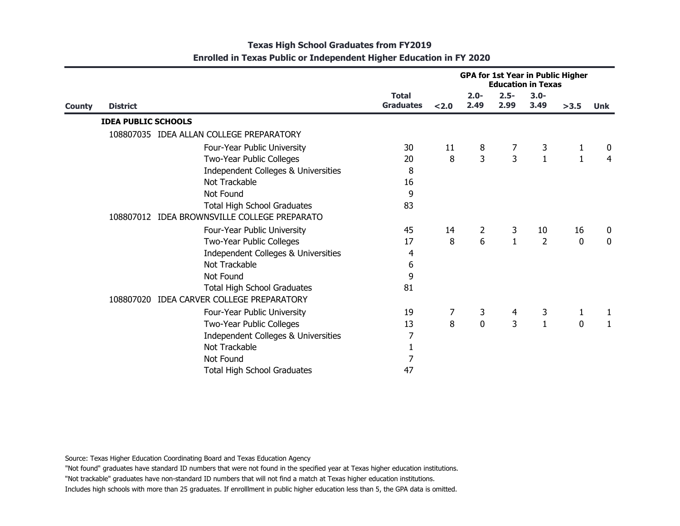|               |                            |                                              | <b>GPA for 1st Year in Public Higher</b><br><b>Education in Texas</b> |       |                 |                 |                 |              |                |
|---------------|----------------------------|----------------------------------------------|-----------------------------------------------------------------------|-------|-----------------|-----------------|-----------------|--------------|----------------|
| <b>County</b> | <b>District</b>            |                                              | <b>Total</b><br><b>Graduates</b>                                      | < 2.0 | $2.0 -$<br>2.49 | $2.5 -$<br>2.99 | $3.0 -$<br>3.49 | >3.5         | <b>Unk</b>     |
|               | <b>IDEA PUBLIC SCHOOLS</b> |                                              |                                                                       |       |                 |                 |                 |              |                |
|               |                            | 108807035 IDEA ALLAN COLLEGE PREPARATORY     |                                                                       |       |                 |                 |                 |              |                |
|               |                            | Four-Year Public University                  | 30                                                                    | 11    | 8               | 7               | 3               | 1            | 0              |
|               |                            | Two-Year Public Colleges                     | 20                                                                    | 8     | 3               | $\overline{3}$  | $\mathbf{1}$    | $\mathbf{1}$ | $\overline{4}$ |
|               |                            | Independent Colleges & Universities          | 8                                                                     |       |                 |                 |                 |              |                |
|               |                            | Not Trackable                                | 16                                                                    |       |                 |                 |                 |              |                |
|               |                            | Not Found                                    | 9                                                                     |       |                 |                 |                 |              |                |
|               |                            | <b>Total High School Graduates</b>           | 83                                                                    |       |                 |                 |                 |              |                |
|               |                            | 108807012 IDEA BROWNSVILLE COLLEGE PREPARATO |                                                                       |       |                 |                 |                 |              |                |
|               |                            | Four-Year Public University                  | 45                                                                    | 14    | $\overline{2}$  | 3               | 10              | 16           | 0              |
|               |                            | Two-Year Public Colleges                     | 17                                                                    | 8     | 6               | $\mathbf{1}$    | $\overline{2}$  | 0            | $\mathbf 0$    |
|               |                            | Independent Colleges & Universities          | 4                                                                     |       |                 |                 |                 |              |                |
|               |                            | Not Trackable                                | 6                                                                     |       |                 |                 |                 |              |                |
|               |                            | Not Found                                    | 9                                                                     |       |                 |                 |                 |              |                |
|               |                            | <b>Total High School Graduates</b>           | 81                                                                    |       |                 |                 |                 |              |                |
|               |                            | 108807020 IDEA CARVER COLLEGE PREPARATORY    |                                                                       |       |                 |                 |                 |              |                |
|               |                            | Four-Year Public University                  | 19                                                                    | 7     | 3               | 4               | 3               | 1            | 1              |
|               |                            | Two-Year Public Colleges                     | 13                                                                    | 8     | $\mathbf 0$     | 3               | $\mathbf{1}$    | $\mathbf 0$  | 1              |
|               |                            | Independent Colleges & Universities          | 7                                                                     |       |                 |                 |                 |              |                |
|               |                            | Not Trackable                                | 1                                                                     |       |                 |                 |                 |              |                |
|               |                            | Not Found                                    | 7                                                                     |       |                 |                 |                 |              |                |
|               |                            | <b>Total High School Graduates</b>           | 47                                                                    |       |                 |                 |                 |              |                |
|               |                            |                                              |                                                                       |       |                 |                 |                 |              |                |

Source: Texas Higher Education Coordinating Board and Texas Education Agency

"Not found" graduates have standard ID numbers that were not found in the specified year at Texas higher education institutions.

"Not trackable" graduates have non-standard ID numbers that will not find a match at Texas higher education institutions.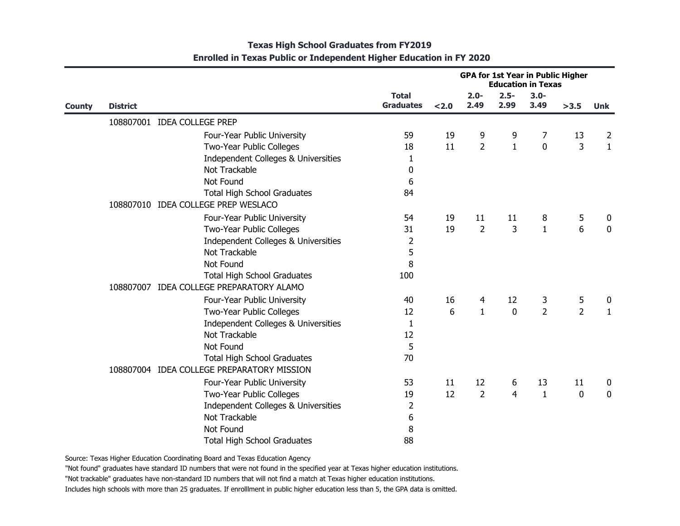| <b>County</b> |                 |                                            | <b>GPA for 1st Year in Public Higher</b><br><b>Education in Texas</b> |       |                 |                 |                 |                |              |
|---------------|-----------------|--------------------------------------------|-----------------------------------------------------------------------|-------|-----------------|-----------------|-----------------|----------------|--------------|
|               | <b>District</b> |                                            | <b>Total</b><br><b>Graduates</b>                                      | < 2.0 | $2.0 -$<br>2.49 | $2.5 -$<br>2.99 | $3.0 -$<br>3.49 | >3.5           | <b>Unk</b>   |
|               |                 | 108807001 IDEA COLLEGE PREP                |                                                                       |       |                 |                 |                 |                |              |
|               |                 | Four-Year Public University                | 59                                                                    | 19    | 9               | 9               | 7               | 13             | 2            |
|               |                 | Two-Year Public Colleges                   | 18                                                                    | 11    | $\overline{2}$  | $\mathbf{1}$    | $\mathbf 0$     | 3              | $\mathbf{1}$ |
|               |                 | Independent Colleges & Universities        | 1                                                                     |       |                 |                 |                 |                |              |
|               |                 | Not Trackable                              | 0                                                                     |       |                 |                 |                 |                |              |
|               |                 | Not Found                                  | 6                                                                     |       |                 |                 |                 |                |              |
|               |                 | <b>Total High School Graduates</b>         | 84                                                                    |       |                 |                 |                 |                |              |
|               |                 | 108807010 IDEA COLLEGE PREP WESLACO        |                                                                       |       |                 |                 |                 |                |              |
|               |                 | Four-Year Public University                | 54                                                                    | 19    | 11              | 11              | 8               | 5              | 0            |
|               |                 | Two-Year Public Colleges                   | 31                                                                    | 19    | $\overline{2}$  | 3               | $\mathbf{1}$    | 6              | $\mathbf 0$  |
|               |                 | Independent Colleges & Universities        | $\overline{2}$                                                        |       |                 |                 |                 |                |              |
|               |                 | Not Trackable                              | 5                                                                     |       |                 |                 |                 |                |              |
|               |                 | Not Found                                  | 8                                                                     |       |                 |                 |                 |                |              |
|               |                 | <b>Total High School Graduates</b>         | 100                                                                   |       |                 |                 |                 |                |              |
|               |                 | 108807007 IDEA COLLEGE PREPARATORY ALAMO   |                                                                       |       |                 |                 |                 |                |              |
|               |                 | Four-Year Public University                | 40                                                                    | 16    | 4               | 12              | 3               | 5              | 0            |
|               |                 | Two-Year Public Colleges                   | 12                                                                    | 6     | $\mathbf{1}$    | $\mathbf 0$     | $\overline{2}$  | $\overline{2}$ | $\mathbf{1}$ |
|               |                 | Independent Colleges & Universities        | 1                                                                     |       |                 |                 |                 |                |              |
|               |                 | Not Trackable                              | 12                                                                    |       |                 |                 |                 |                |              |
|               |                 | Not Found                                  | 5                                                                     |       |                 |                 |                 |                |              |
|               |                 | <b>Total High School Graduates</b>         | 70                                                                    |       |                 |                 |                 |                |              |
|               |                 | 108807004 IDEA COLLEGE PREPARATORY MISSION |                                                                       |       |                 |                 |                 |                |              |
|               |                 | Four-Year Public University                | 53                                                                    | 11    | 12              | 6               | 13              | 11             | 0            |
|               |                 | Two-Year Public Colleges                   | 19                                                                    | 12    | $\overline{2}$  | 4               | $\mathbf{1}$    | 0              | $\mathbf 0$  |
|               |                 | Independent Colleges & Universities        | $\overline{2}$                                                        |       |                 |                 |                 |                |              |
|               |                 | Not Trackable                              | 6                                                                     |       |                 |                 |                 |                |              |
|               |                 | Not Found                                  | 8                                                                     |       |                 |                 |                 |                |              |
|               |                 | <b>Total High School Graduates</b>         | 88                                                                    |       |                 |                 |                 |                |              |

Source: Texas Higher Education Coordinating Board and Texas Education Agency

"Not found" graduates have standard ID numbers that were not found in the specified year at Texas higher education institutions.

"Not trackable" graduates have non-standard ID numbers that will not find a match at Texas higher education institutions.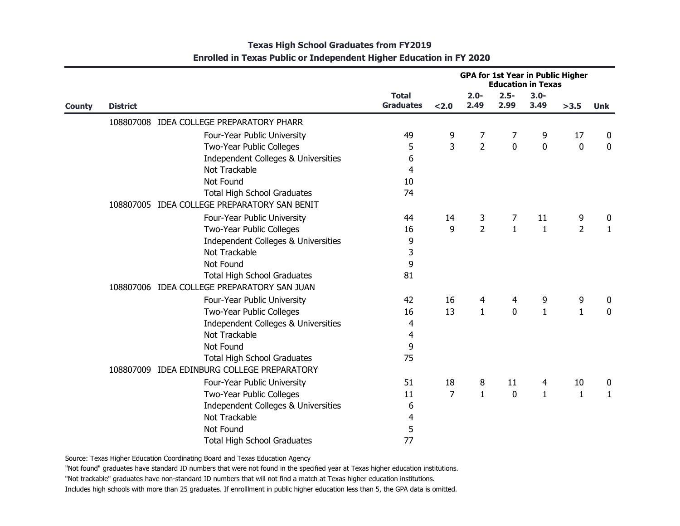| <b>County</b> |                 |                                              | <b>GPA for 1st Year in Public Higher</b><br><b>Education in Texas</b> |                |                 |                 |                 |                |             |
|---------------|-----------------|----------------------------------------------|-----------------------------------------------------------------------|----------------|-----------------|-----------------|-----------------|----------------|-------------|
|               | <b>District</b> |                                              | <b>Total</b><br><b>Graduates</b>                                      | < 2.0          | $2.0 -$<br>2.49 | $2.5 -$<br>2.99 | $3.0 -$<br>3.49 | >3.5           | <b>Unk</b>  |
|               |                 | 108807008 IDEA COLLEGE PREPARATORY PHARR     |                                                                       |                |                 |                 |                 |                |             |
|               |                 | Four-Year Public University                  | 49                                                                    | 9              | 7               | 7               | 9               | 17             | 0           |
|               |                 | Two-Year Public Colleges                     | 5                                                                     | 3              | $\overline{2}$  | $\mathbf 0$     | $\mathbf 0$     | 0              | 0           |
|               |                 | Independent Colleges & Universities          | 6                                                                     |                |                 |                 |                 |                |             |
|               |                 | Not Trackable                                | 4                                                                     |                |                 |                 |                 |                |             |
|               |                 | Not Found                                    | 10                                                                    |                |                 |                 |                 |                |             |
|               |                 | <b>Total High School Graduates</b>           | 74                                                                    |                |                 |                 |                 |                |             |
|               |                 | 108807005 IDEA COLLEGE PREPARATORY SAN BENIT |                                                                       |                |                 |                 |                 |                |             |
|               |                 | Four-Year Public University                  | 44                                                                    | 14             | 3               | 7               | 11              | 9              | 0           |
|               |                 | Two-Year Public Colleges                     | 16                                                                    | 9              | $\overline{2}$  | $\mathbf{1}$    | $\mathbf{1}$    | $\overline{2}$ | 1           |
|               |                 | Independent Colleges & Universities          | 9                                                                     |                |                 |                 |                 |                |             |
|               |                 | Not Trackable                                | 3                                                                     |                |                 |                 |                 |                |             |
|               |                 | Not Found                                    | 9                                                                     |                |                 |                 |                 |                |             |
|               |                 | <b>Total High School Graduates</b>           | 81                                                                    |                |                 |                 |                 |                |             |
|               |                 | 108807006 IDEA COLLEGE PREPARATORY SAN JUAN  |                                                                       |                |                 |                 |                 |                |             |
|               |                 | Four-Year Public University                  | 42                                                                    | 16             | 4               | 4               | 9               | 9              | 0           |
|               |                 | Two-Year Public Colleges                     | 16                                                                    | 13             | $\mathbf{1}$    | $\mathbf 0$     | $\mathbf{1}$    | $\mathbf{1}$   | $\mathbf 0$ |
|               |                 | Independent Colleges & Universities          | 4                                                                     |                |                 |                 |                 |                |             |
|               |                 | Not Trackable                                | 4                                                                     |                |                 |                 |                 |                |             |
|               |                 | Not Found                                    | 9                                                                     |                |                 |                 |                 |                |             |
|               |                 | <b>Total High School Graduates</b>           | 75                                                                    |                |                 |                 |                 |                |             |
|               |                 | 108807009 IDEA EDINBURG COLLEGE PREPARATORY  |                                                                       |                |                 |                 |                 |                |             |
|               |                 | Four-Year Public University                  | 51                                                                    | 18             | 8               | 11              | 4               | 10             | 0           |
|               |                 | Two-Year Public Colleges                     | 11                                                                    | $\overline{7}$ | $\mathbf{1}$    | 0               | $\mathbf{1}$    | 1              | 1           |
|               |                 | Independent Colleges & Universities          | 6                                                                     |                |                 |                 |                 |                |             |
|               |                 | Not Trackable                                | 4                                                                     |                |                 |                 |                 |                |             |
|               |                 | Not Found                                    | 5                                                                     |                |                 |                 |                 |                |             |
|               |                 | <b>Total High School Graduates</b>           | 77                                                                    |                |                 |                 |                 |                |             |

Source: Texas Higher Education Coordinating Board and Texas Education Agency

"Not found" graduates have standard ID numbers that were not found in the specified year at Texas higher education institutions.

"Not trackable" graduates have non-standard ID numbers that will not find a match at Texas higher education institutions.